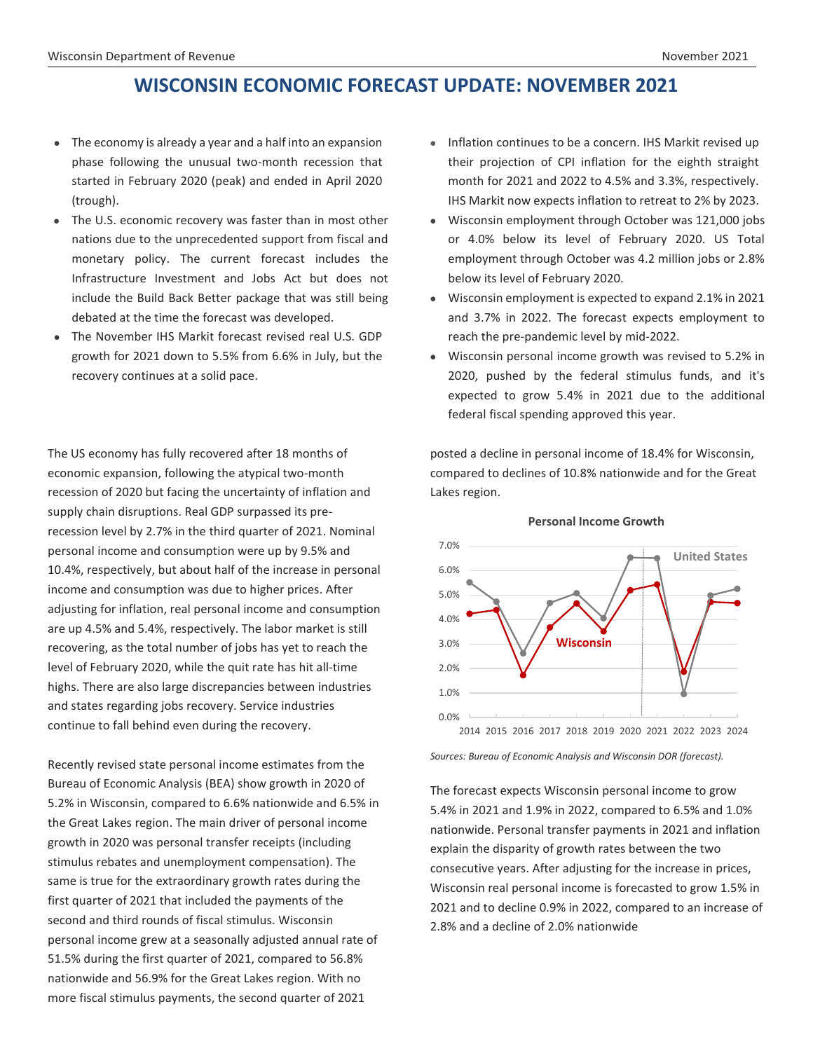# **WISCONSIN ECONOMIC FORECAST UPDATE: NOVEMBER 2021**

- The economy is already a year and a half into an expansion phase following the unusual two-month recession that started in February 2020 (peak) and ended in April 2020 (trough).
- The U.S. economic recovery was faster than in most other nations due to the unprecedented support from fiscal and monetary policy. The current forecast includes the Infrastructure Investment and Jobs Act but does not include the Build Back Better package that was still being debated at the time the forecast was developed.
- The November IHS Markit forecast revised real U.S. GDP growth for 2021 down to 5.5% from 6.6% in July, but the recovery continues at a solid pace.

The US economy has fully recovered after 18 months of economic expansion, following the atypical two-month recession of 2020 but facing the uncertainty of inflation and supply chain disruptions. Real GDP surpassed its prerecession level by 2.7% in the third quarter of 2021. Nominal personal income and consumption were up by 9.5% and 10.4%, respectively, but about half of the increase in personal income and consumption was due to higher prices. After adjusting for inflation, real personal income and consumption are up 4.5% and 5.4%, respectively. The labor market is still recovering, as the total number of jobs has yet to reach the level of February 2020, while the quit rate has hit all-time highs. There are also large discrepancies between industries and states regarding jobs recovery. Service industries continue to fall behind even during the recovery.

Recently revised state personal income estimates from the Bureau of Economic Analysis (BEA) show growth in 2020 of 5.2% in Wisconsin, compared to 6.6% nationwide and 6.5% in the Great Lakes region. The main driver of personal income growth in 2020 was personal transfer receipts (including stimulus rebates and unemployment compensation). The same is true for the extraordinary growth rates during the first quarter of 2021 that included the payments of the second and third rounds of fiscal stimulus. Wisconsin personal income grew at a seasonally adjusted annual rate of 51.5% during the first quarter of 2021, compared to 56.8% nationwide and 56.9% for the Great Lakes region. With no more fiscal stimulus payments, the second quarter of 2021

- Inflation continues to be a concern. IHS Markit revised up their projection of CPI inflation for the eighth straight month for 2021 and 2022 to 4.5% and 3.3%, respectively. IHS Markit now expects inflation to retreat to 2% by 2023.
- Wisconsin employment through October was 121,000 jobs or 4.0% below its level of February 2020. US Total employment through October was 4.2 million jobs or 2.8% below its level of February 2020.
- Wisconsin employment is expected to expand 2.1% in 2021 and 3.7% in 2022. The forecast expects employment to reach the pre-pandemic level by mid-2022.
- Wisconsin personal income growth was revised to 5.2% in 2020, pushed by the federal stimulus funds, and it's expected to grow 5.4% in 2021 due to the additional federal fiscal spending approved this year.

posted a decline in personal income of 18.4% for Wisconsin, compared to declines of 10.8% nationwide and for the Great Lakes region.



#### **Personal Income Growth**

*Sources: Bureau of Economic Analysis and Wisconsin DOR (forecast).*

The forecast expects Wisconsin personal income to grow 5.4% in 2021 and 1.9% in 2022, compared to 6.5% and 1.0% nationwide. Personal transfer payments in 2021 and inflation explain the disparity of growth rates between the two consecutive years. After adjusting for the increase in prices, Wisconsin real personal income is forecasted to grow 1.5% in 2021 and to decline 0.9% in 2022, compared to an increase of 2.8% and a decline of 2.0% nationwide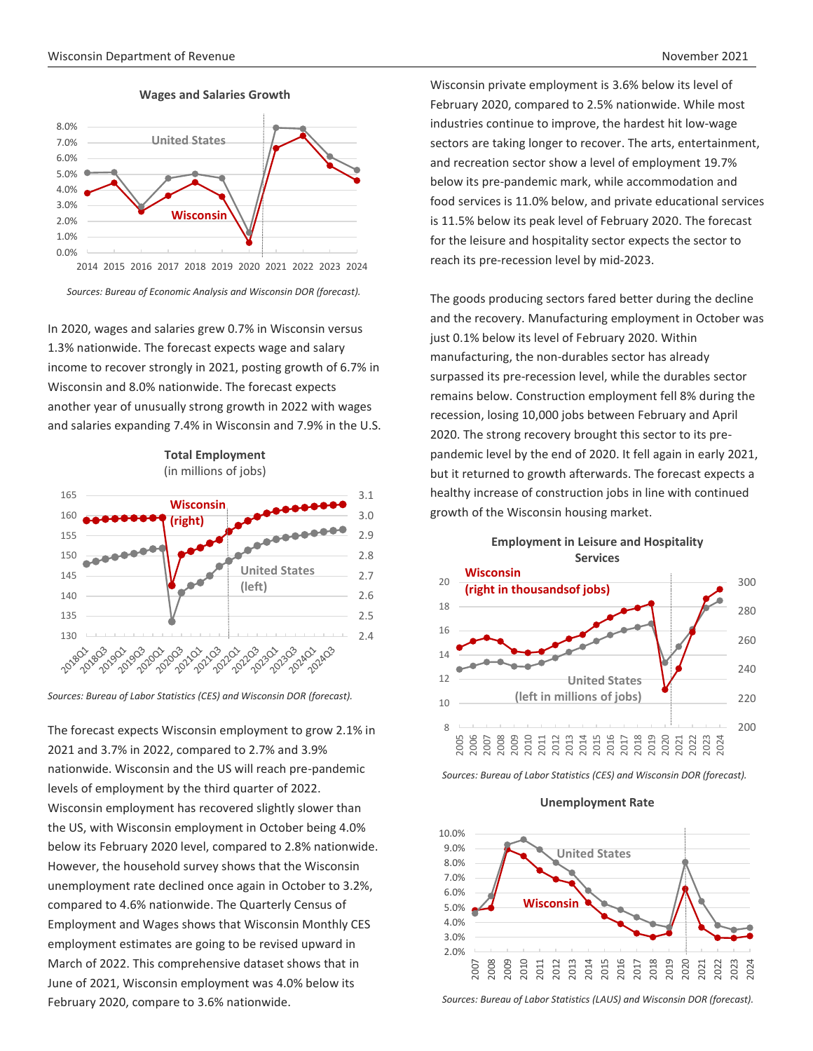

**Wages and Salaries Growth**

 *Sources: Bureau of Economic Analysis and Wisconsin DOR (forecast).*

In 2020, wages and salaries grew 0.7% in Wisconsin versus 1.3% nationwide. The forecast expects wage and salary income to recover strongly in 2021, posting growth of 6.7% in Wisconsin and 8.0% nationwide. The forecast expects another year of unusually strong growth in 2022 with wages and salaries expanding 7.4% in Wisconsin and 7.9% in the U.S.





The forecast expects Wisconsin employment to grow 2.1% in 2021 and 3.7% in 2022, compared to 2.7% and 3.9% nationwide. Wisconsin and the US will reach pre-pandemic levels of employment by the third quarter of 2022. Wisconsin employment has recovered slightly slower than the US, with Wisconsin employment in October being 4.0% below its February 2020 level, compared to 2.8% nationwide. However, the household survey shows that the Wisconsin unemployment rate declined once again in October to 3.2%, compared to 4.6% nationwide. The Quarterly Census of Employment and Wages shows that Wisconsin Monthly CES employment estimates are going to be revised upward in March of 2022. This comprehensive dataset shows that in June of 2021, Wisconsin employment was 4.0% below its February 2020, compare to 3.6% nationwide.

Wisconsin private employment is 3.6% below its level of February 2020, compared to 2.5% nationwide. While most industries continue to improve, the hardest hit low-wage sectors are taking longer to recover. The arts, entertainment, and recreation sector show a level of employment 19.7% below its pre-pandemic mark, while accommodation and food services is 11.0% below, and private educational services is 11.5% below its peak level of February 2020. The forecast for the leisure and hospitality sector expects the sector to reach its pre-recession level by mid-2023.

The goods producing sectors fared better during the decline and the recovery. Manufacturing employment in October was just 0.1% below its level of February 2020. Within manufacturing, the non-durables sector has already surpassed its pre-recession level, while the durables sector remains below. Construction employment fell 8% during the recession, losing 10,000 jobs between February and April 2020. The strong recovery brought this sector to its prepandemic level by the end of 2020. It fell again in early 2021, but it returned to growth afterwards. The forecast expects a healthy increase of construction jobs in line with continued growth of the Wisconsin housing market.



**Employment in Leisure and Hospitality** 

*Sources: Bureau of Labor Statistics (CES) and Wisconsin DOR (forecast).*





*Sources: Bureau of Labor Statistics (LAUS) and Wisconsin DOR (forecast).*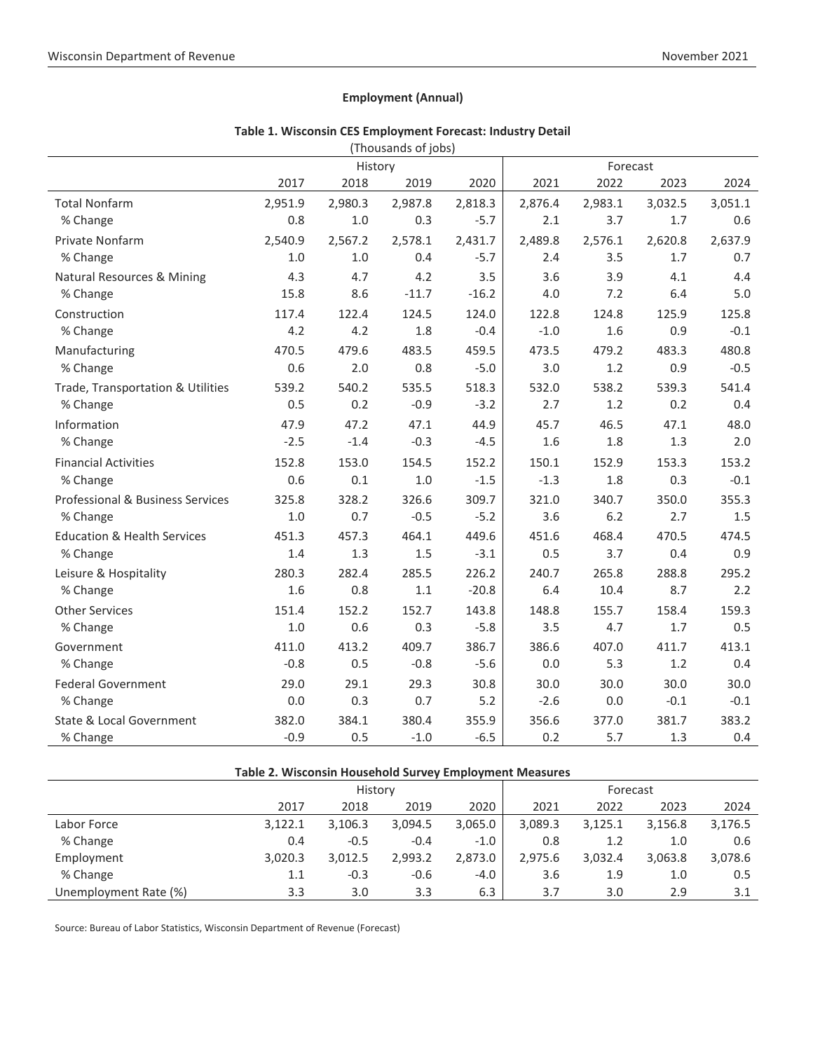#### **Employment (Annual)**

|                                        |         | History | l Thomanius of Jons) |         |         | Forecast |         |         |  |
|----------------------------------------|---------|---------|----------------------|---------|---------|----------|---------|---------|--|
|                                        | 2017    | 2018    | 2019                 | 2020    | 2021    | 2022     | 2023    | 2024    |  |
| <b>Total Nonfarm</b>                   | 2,951.9 | 2,980.3 | 2,987.8              | 2,818.3 | 2,876.4 | 2,983.1  | 3,032.5 | 3,051.1 |  |
| % Change                               | 0.8     | 1.0     | 0.3                  | $-5.7$  | 2.1     | 3.7      | 1.7     | 0.6     |  |
| Private Nonfarm                        | 2,540.9 | 2,567.2 | 2,578.1              | 2,431.7 | 2,489.8 | 2,576.1  | 2,620.8 | 2,637.9 |  |
| % Change                               | 1.0     | 1.0     | 0.4                  | $-5.7$  | 2.4     | 3.5      | 1.7     | 0.7     |  |
| Natural Resources & Mining             | 4.3     | 4.7     | 4.2                  | 3.5     | 3.6     | 3.9      | 4.1     | 4.4     |  |
| % Change                               | 15.8    | 8.6     | $-11.7$              | $-16.2$ | 4.0     | 7.2      | 6.4     | 5.0     |  |
| Construction                           | 117.4   | 122.4   | 124.5                | 124.0   | 122.8   | 124.8    | 125.9   | 125.8   |  |
| % Change                               | 4.2     | 4.2     | 1.8                  | $-0.4$  | $-1.0$  | 1.6      | 0.9     | $-0.1$  |  |
| Manufacturing                          | 470.5   | 479.6   | 483.5                | 459.5   | 473.5   | 479.2    | 483.3   | 480.8   |  |
| % Change                               | 0.6     | 2.0     | 0.8                  | $-5.0$  | 3.0     | 1.2      | 0.9     | $-0.5$  |  |
| Trade, Transportation & Utilities      | 539.2   | 540.2   | 535.5                | 518.3   | 532.0   | 538.2    | 539.3   | 541.4   |  |
| % Change                               | 0.5     | 0.2     | $-0.9$               | $-3.2$  | 2.7     | 1.2      | 0.2     | 0.4     |  |
| Information                            | 47.9    | 47.2    | 47.1                 | 44.9    | 45.7    | 46.5     | 47.1    | 48.0    |  |
| % Change                               | $-2.5$  | $-1.4$  | $-0.3$               | $-4.5$  | 1.6     | 1.8      | 1.3     | 2.0     |  |
| <b>Financial Activities</b>            | 152.8   | 153.0   | 154.5                | 152.2   | 150.1   | 152.9    | 153.3   | 153.2   |  |
| % Change                               | 0.6     | 0.1     | 1.0                  | $-1.5$  | $-1.3$  | 1.8      | 0.3     | $-0.1$  |  |
| Professional & Business Services       | 325.8   | 328.2   | 326.6                | 309.7   | 321.0   | 340.7    | 350.0   | 355.3   |  |
| % Change                               | $1.0$   | 0.7     | $-0.5$               | $-5.2$  | 3.6     | 6.2      | 2.7     | 1.5     |  |
| <b>Education &amp; Health Services</b> | 451.3   | 457.3   | 464.1                | 449.6   | 451.6   | 468.4    | 470.5   | 474.5   |  |
| % Change                               | 1.4     | 1.3     | 1.5                  | $-3.1$  | 0.5     | 3.7      | 0.4     | 0.9     |  |
| Leisure & Hospitality                  | 280.3   | 282.4   | 285.5                | 226.2   | 240.7   | 265.8    | 288.8   | 295.2   |  |
| % Change                               | 1.6     | 0.8     | 1.1                  | $-20.8$ | 6.4     | 10.4     | 8.7     | 2.2     |  |
| <b>Other Services</b>                  | 151.4   | 152.2   | 152.7                | 143.8   | 148.8   | 155.7    | 158.4   | 159.3   |  |
| % Change                               | 1.0     | 0.6     | 0.3                  | $-5.8$  | 3.5     | 4.7      | 1.7     | 0.5     |  |
| Government                             | 411.0   | 413.2   | 409.7                | 386.7   | 386.6   | 407.0    | 411.7   | 413.1   |  |
| % Change                               | $-0.8$  | 0.5     | $-0.8$               | $-5.6$  | 0.0     | 5.3      | 1.2     | 0.4     |  |
| <b>Federal Government</b>              | 29.0    | 29.1    | 29.3                 | 30.8    | 30.0    | 30.0     | 30.0    | 30.0    |  |
| % Change                               | 0.0     | 0.3     | 0.7                  | 5.2     | $-2.6$  | 0.0      | $-0.1$  | $-0.1$  |  |
| State & Local Government               | 382.0   | 384.1   | 380.4                | 355.9   | 356.6   | 377.0    | 381.7   | 383.2   |  |
| % Change                               | $-0.9$  | 0.5     | $-1.0$               | $-6.5$  | 0.2     | 5.7      | 1.3     | 0.4     |  |

#### **Table 1. Wisconsin CES Employment Forecast: Industry Detail** (Thousands of jobs)

| Table 2. Wisconsin Household Survey Employment Measures |         |         |         |          |         |         |         |         |  |  |
|---------------------------------------------------------|---------|---------|---------|----------|---------|---------|---------|---------|--|--|
|                                                         |         | History |         | Forecast |         |         |         |         |  |  |
|                                                         | 2017    | 2018    | 2019    | 2020     | 2021    | 2022    | 2023    | 2024    |  |  |
| Labor Force                                             | 3.122.1 | 3,106.3 | 3,094.5 | 3,065.0  | 3,089.3 | 3,125.1 | 3,156.8 | 3,176.5 |  |  |
| % Change                                                | 0.4     | $-0.5$  | $-0.4$  | $-1.0$   | 0.8     | 1.2     | 1.0     | 0.6     |  |  |
| Employment                                              | 3.020.3 | 3,012.5 | 2.993.2 | 2,873.0  | 2,975.6 | 3,032.4 | 3,063.8 | 3,078.6 |  |  |
| % Change                                                | 1.1     | $-0.3$  | $-0.6$  | $-4.0$   | 3.6     | 1.9     | 1.0     | 0.5     |  |  |
| Unemployment Rate (%)                                   | 3.3     | 3.0     | 3.3     | 6.3      | 3.7     | 3.0     | 2.9     | 3.1     |  |  |

Source: Bureau of Labor Statistics, Wisconsin Department of Revenue (Forecast)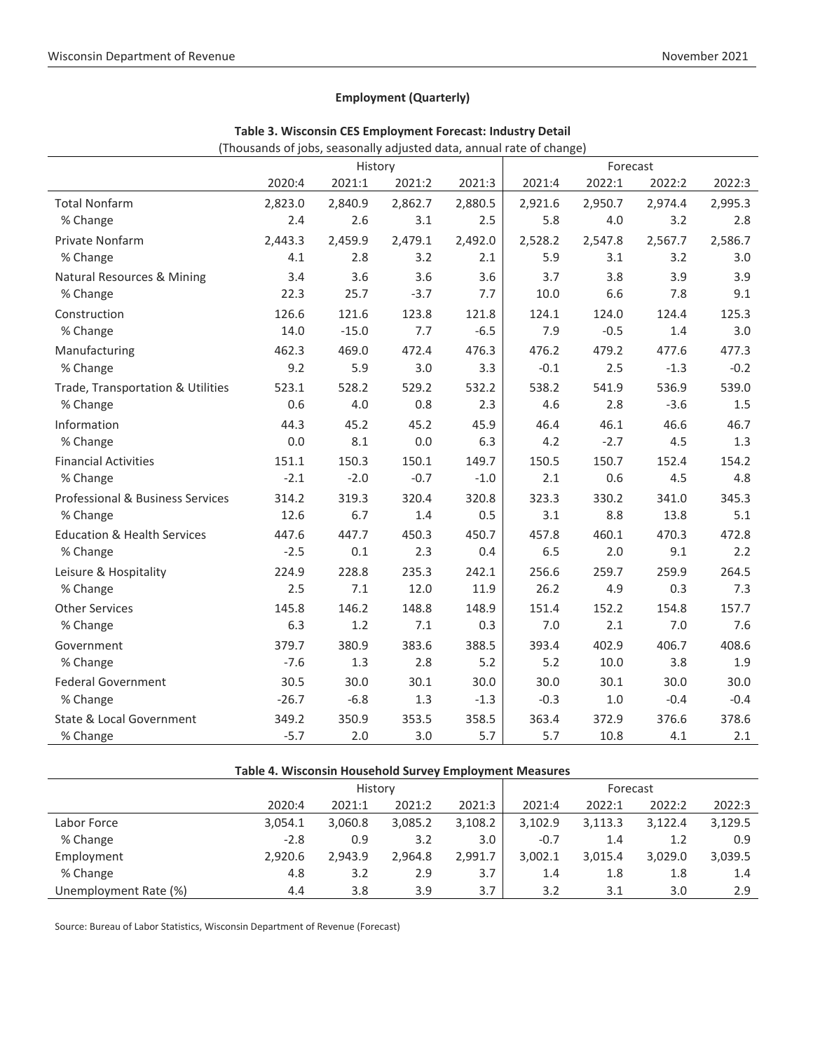### **Employment (Quarterly)**

|                                        | History |         |         | Forecast |         |         |         |         |
|----------------------------------------|---------|---------|---------|----------|---------|---------|---------|---------|
|                                        | 2020:4  | 2021:1  | 2021:2  | 2021:3   | 2021:4  | 2022:1  | 2022:2  | 2022:3  |
| <b>Total Nonfarm</b>                   | 2,823.0 | 2,840.9 | 2,862.7 | 2,880.5  | 2,921.6 | 2,950.7 | 2,974.4 | 2,995.3 |
| % Change                               | 2.4     | 2.6     | 3.1     | 2.5      | 5.8     | 4.0     | 3.2     | 2.8     |
| Private Nonfarm                        | 2,443.3 | 2,459.9 | 2,479.1 | 2,492.0  | 2,528.2 | 2,547.8 | 2,567.7 | 2,586.7 |
| % Change                               | 4.1     | 2.8     | 3.2     | 2.1      | 5.9     | 3.1     | 3.2     | 3.0     |
| <b>Natural Resources &amp; Mining</b>  | 3.4     | 3.6     | 3.6     | 3.6      | 3.7     | 3.8     | 3.9     | 3.9     |
| % Change                               | 22.3    | 25.7    | $-3.7$  | 7.7      | 10.0    | 6.6     | 7.8     | 9.1     |
| Construction                           | 126.6   | 121.6   | 123.8   | 121.8    | 124.1   | 124.0   | 124.4   | 125.3   |
| % Change                               | 14.0    | $-15.0$ | 7.7     | $-6.5$   | 7.9     | $-0.5$  | 1.4     | 3.0     |
| Manufacturing                          | 462.3   | 469.0   | 472.4   | 476.3    | 476.2   | 479.2   | 477.6   | 477.3   |
| % Change                               | 9.2     | 5.9     | 3.0     | 3.3      | $-0.1$  | 2.5     | $-1.3$  | $-0.2$  |
| Trade, Transportation & Utilities      | 523.1   | 528.2   | 529.2   | 532.2    | 538.2   | 541.9   | 536.9   | 539.0   |
| % Change                               | 0.6     | 4.0     | 0.8     | 2.3      | 4.6     | 2.8     | $-3.6$  | 1.5     |
| Information                            | 44.3    | 45.2    | 45.2    | 45.9     | 46.4    | 46.1    | 46.6    | 46.7    |
| % Change                               | 0.0     | 8.1     | 0.0     | 6.3      | 4.2     | $-2.7$  | 4.5     | 1.3     |
| <b>Financial Activities</b>            | 151.1   | 150.3   | 150.1   | 149.7    | 150.5   | 150.7   | 152.4   | 154.2   |
| % Change                               | $-2.1$  | $-2.0$  | $-0.7$  | $-1.0$   | 2.1     | 0.6     | 4.5     | 4.8     |
| Professional & Business Services       | 314.2   | 319.3   | 320.4   | 320.8    | 323.3   | 330.2   | 341.0   | 345.3   |
| % Change                               | 12.6    | 6.7     | 1.4     | 0.5      | 3.1     | 8.8     | 13.8    | 5.1     |
| <b>Education &amp; Health Services</b> | 447.6   | 447.7   | 450.3   | 450.7    | 457.8   | 460.1   | 470.3   | 472.8   |
| % Change                               | $-2.5$  | 0.1     | 2.3     | 0.4      | 6.5     | 2.0     | 9.1     | 2.2     |
| Leisure & Hospitality                  | 224.9   | 228.8   | 235.3   | 242.1    | 256.6   | 259.7   | 259.9   | 264.5   |
| % Change                               | 2.5     | 7.1     | 12.0    | 11.9     | 26.2    | 4.9     | 0.3     | 7.3     |
| <b>Other Services</b>                  | 145.8   | 146.2   | 148.8   | 148.9    | 151.4   | 152.2   | 154.8   | 157.7   |
| % Change                               | 6.3     | 1.2     | 7.1     | 0.3      | 7.0     | 2.1     | 7.0     | 7.6     |
| Government                             | 379.7   | 380.9   | 383.6   | 388.5    | 393.4   | 402.9   | 406.7   | 408.6   |
| % Change                               | $-7.6$  | 1.3     | 2.8     | 5.2      | 5.2     | 10.0    | 3.8     | 1.9     |
| <b>Federal Government</b>              | 30.5    | 30.0    | 30.1    | 30.0     | 30.0    | 30.1    | 30.0    | 30.0    |
| % Change                               | $-26.7$ | $-6.8$  | 1.3     | $-1.3$   | $-0.3$  | $1.0$   | $-0.4$  | $-0.4$  |
| State & Local Government               | 349.2   | 350.9   | 353.5   | 358.5    | 363.4   | 372.9   | 376.6   | 378.6   |
| % Change                               | $-5.7$  | 2.0     | 3.0     | 5.7      | 5.7     | 10.8    | 4.1     | 2.1     |

**Table 3. Wisconsin CES Employment Forecast: Industry Detail**

(Thousands of jobs, seasonally adjusted data, annual rate of change)

| Table 4. Wisconsin Household Survey Employment Measures |         |         |         |         |         |          |         |         |  |  |
|---------------------------------------------------------|---------|---------|---------|---------|---------|----------|---------|---------|--|--|
|                                                         | History |         |         |         |         | Forecast |         |         |  |  |
|                                                         | 2020:4  | 2021:1  | 2021:2  | 2021:3  | 2021:4  | 2022:1   | 2022:2  | 2022:3  |  |  |
| Labor Force                                             | 3.054.1 | 3,060.8 | 3,085.2 | 3,108.2 | 3,102.9 | 3,113.3  | 3,122.4 | 3,129.5 |  |  |
| % Change                                                | $-2.8$  | 0.9     | 3.2     | 3.0     | $-0.7$  | 1.4      | 1.2     | 0.9     |  |  |
| Employment                                              | 2.920.6 | 2.943.9 | 2,964.8 | 2.991.7 | 3.002.1 | 3.015.4  | 3.029.0 | 3,039.5 |  |  |
| % Change                                                | 4.8     | 3.2     | 2.9     | 3.7     | 1.4     | 1.8      | 1.8     | 1.4     |  |  |
| Unemployment Rate (%)                                   | 4.4     | 3.8     | 3.9     | 3.7     | 3.2     | 3.1      | 3.0     | 2.9     |  |  |

Source: Bureau of Labor Statistics, Wisconsin Department of Revenue (Forecast)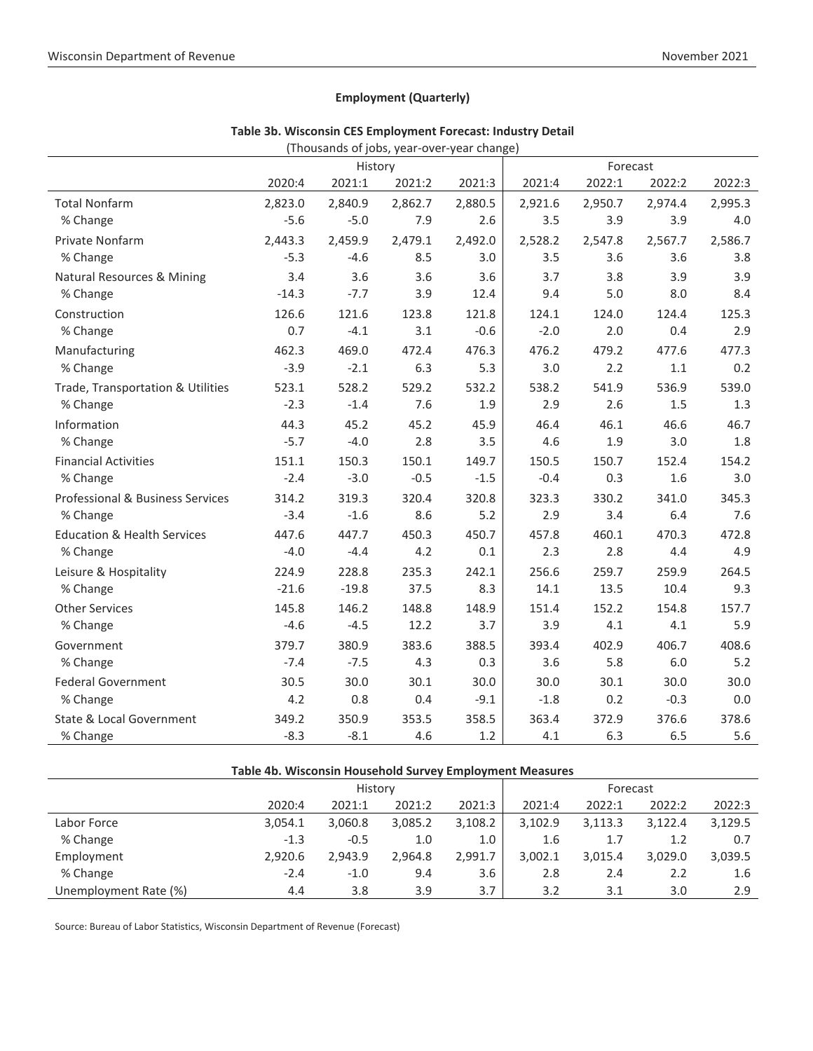## **Employment (Quarterly)**

|                                        |         | $(110030110301)$ year over year change) |         |         |         |                    |         |         |
|----------------------------------------|---------|-----------------------------------------|---------|---------|---------|--------------------|---------|---------|
|                                        | 2020:4  | History<br>2021:1                       | 2021:2  | 2021:3  | 2021:4  | Forecast<br>2022:1 | 2022:2  | 2022:3  |
|                                        |         |                                         |         |         |         |                    |         |         |
| <b>Total Nonfarm</b>                   | 2,823.0 | 2,840.9                                 | 2,862.7 | 2,880.5 | 2,921.6 | 2,950.7            | 2,974.4 | 2,995.3 |
| % Change                               | $-5.6$  | $-5.0$                                  | 7.9     | 2.6     | 3.5     | 3.9                | 3.9     | 4.0     |
| Private Nonfarm                        | 2,443.3 | 2,459.9                                 | 2,479.1 | 2,492.0 | 2,528.2 | 2,547.8            | 2,567.7 | 2,586.7 |
| % Change                               | $-5.3$  | $-4.6$                                  | 8.5     | 3.0     | 3.5     | 3.6                | 3.6     | 3.8     |
| Natural Resources & Mining             | 3.4     | 3.6                                     | 3.6     | 3.6     | 3.7     | 3.8                | 3.9     | 3.9     |
| % Change                               | $-14.3$ | $-7.7$                                  | 3.9     | 12.4    | 9.4     | 5.0                | 8.0     | 8.4     |
| Construction                           | 126.6   | 121.6                                   | 123.8   | 121.8   | 124.1   | 124.0              | 124.4   | 125.3   |
| % Change                               | 0.7     | $-4.1$                                  | 3.1     | $-0.6$  | $-2.0$  | 2.0                | 0.4     | 2.9     |
| Manufacturing                          | 462.3   | 469.0                                   | 472.4   | 476.3   | 476.2   | 479.2              | 477.6   | 477.3   |
| % Change                               | $-3.9$  | $-2.1$                                  | 6.3     | 5.3     | 3.0     | 2.2                | 1.1     | 0.2     |
| Trade, Transportation & Utilities      | 523.1   | 528.2                                   | 529.2   | 532.2   | 538.2   | 541.9              | 536.9   | 539.0   |
| % Change                               | $-2.3$  | $-1.4$                                  | 7.6     | 1.9     | 2.9     | 2.6                | 1.5     | 1.3     |
| Information                            | 44.3    | 45.2                                    | 45.2    | 45.9    | 46.4    | 46.1               | 46.6    | 46.7    |
| % Change                               | $-5.7$  | $-4.0$                                  | 2.8     | 3.5     | 4.6     | 1.9                | 3.0     | 1.8     |
| <b>Financial Activities</b>            | 151.1   | 150.3                                   | 150.1   | 149.7   | 150.5   | 150.7              | 152.4   | 154.2   |
| % Change                               | $-2.4$  | $-3.0$                                  | $-0.5$  | $-1.5$  | $-0.4$  | 0.3                | 1.6     | 3.0     |
| Professional & Business Services       | 314.2   | 319.3                                   | 320.4   | 320.8   | 323.3   | 330.2              | 341.0   | 345.3   |
| % Change                               | $-3.4$  | $-1.6$                                  | 8.6     | 5.2     | 2.9     | 3.4                | 6.4     | 7.6     |
| <b>Education &amp; Health Services</b> | 447.6   | 447.7                                   | 450.3   | 450.7   | 457.8   | 460.1              | 470.3   | 472.8   |
| % Change                               | $-4.0$  | $-4.4$                                  | 4.2     | 0.1     | 2.3     | 2.8                | 4.4     | 4.9     |
| Leisure & Hospitality                  | 224.9   | 228.8                                   | 235.3   | 242.1   | 256.6   | 259.7              | 259.9   | 264.5   |
| % Change                               | $-21.6$ | $-19.8$                                 | 37.5    | 8.3     | 14.1    | 13.5               | 10.4    | 9.3     |
| <b>Other Services</b>                  | 145.8   | 146.2                                   | 148.8   | 148.9   | 151.4   | 152.2              | 154.8   | 157.7   |
| % Change                               | $-4.6$  | $-4.5$                                  | 12.2    | 3.7     | 3.9     | 4.1                | 4.1     | 5.9     |
| Government                             | 379.7   | 380.9                                   | 383.6   | 388.5   | 393.4   | 402.9              | 406.7   | 408.6   |
| % Change                               | $-7.4$  | $-7.5$                                  | 4.3     | 0.3     | 3.6     | 5.8                | 6.0     | 5.2     |
| <b>Federal Government</b>              | 30.5    | 30.0                                    | 30.1    | 30.0    | 30.0    | 30.1               | 30.0    | 30.0    |
| % Change                               | 4.2     | 0.8                                     | 0.4     | $-9.1$  | $-1.8$  | 0.2                | $-0.3$  | 0.0     |
| State & Local Government               | 349.2   | 350.9                                   | 353.5   | 358.5   | 363.4   | 372.9              | 376.6   | 378.6   |
| % Change                               | $-8.3$  | $-8.1$                                  | 4.6     | 1.2     | 4.1     | 6.3                | 6.5     | 5.6     |

#### **Table 3b. Wisconsin CES Employment Forecast: Industry Detail** (Thousands of jobs, year-over-year change)

| Table 4b. Wisconsin Household Survey Employment Measures |         |          |         |         |         |         |         |         |  |  |
|----------------------------------------------------------|---------|----------|---------|---------|---------|---------|---------|---------|--|--|
|                                                          |         | Forecast |         |         |         |         |         |         |  |  |
|                                                          | 2020:4  | 2021:1   | 2021:2  | 2021:3  | 2021:4  | 2022:1  | 2022:2  | 2022:3  |  |  |
| Labor Force                                              | 3.054.1 | 3,060.8  | 3,085.2 | 3,108.2 | 3,102.9 | 3,113.3 | 3,122.4 | 3,129.5 |  |  |
| % Change                                                 | $-1.3$  | $-0.5$   | 1.0     | 1.0     | 1.6     | 1.7     | 1.2     | 0.7     |  |  |
| Employment                                               | 2.920.6 | 2,943.9  | 2.964.8 | 2,991.7 | 3,002.1 | 3,015.4 | 3,029.0 | 3,039.5 |  |  |
| % Change                                                 | $-2.4$  | $-1.0$   | 9.4     | 3.6     | 2.8     | 2.4     | 2.2     | 1.6     |  |  |
| Unemployment Rate (%)                                    | 4.4     | 3.8      | 3.9     | 3.7     | 3.2     | 3.1     | 3.0     | 2.9     |  |  |

Source: Bureau of Labor Statistics, Wisconsin Department of Revenue (Forecast)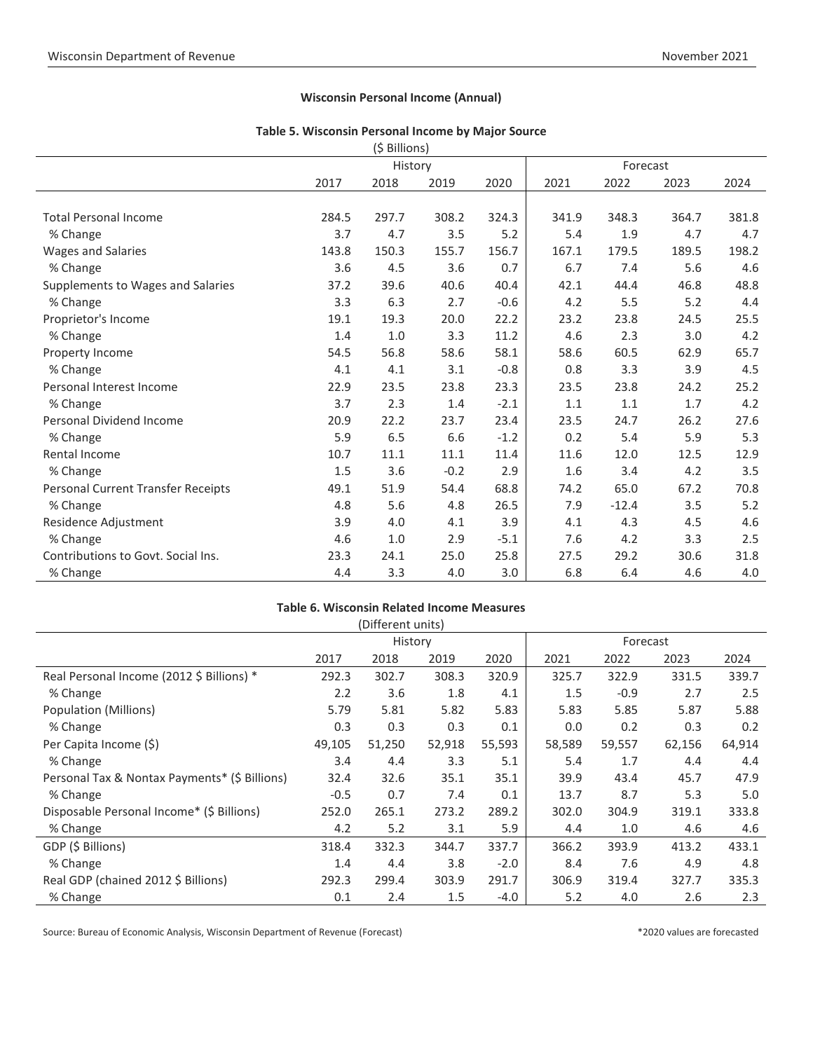#### **Wisconsin Personal Income (Annual)**

#### **Table 5. Wisconsin Personal Income by Major Source**  $(f \text{ Bill} \text{on})$

|                                    |       | (၃ Billions) |        |        |       |         |          |       |  |  |
|------------------------------------|-------|--------------|--------|--------|-------|---------|----------|-------|--|--|
|                                    |       | History      |        |        |       |         | Forecast |       |  |  |
|                                    | 2017  | 2018         | 2019   | 2020   | 2021  | 2022    | 2023     | 2024  |  |  |
|                                    |       |              |        |        |       |         |          |       |  |  |
| <b>Total Personal Income</b>       | 284.5 | 297.7        | 308.2  | 324.3  | 341.9 | 348.3   | 364.7    | 381.8 |  |  |
| % Change                           | 3.7   | 4.7          | 3.5    | 5.2    | 5.4   | 1.9     | 4.7      | 4.7   |  |  |
| <b>Wages and Salaries</b>          | 143.8 | 150.3        | 155.7  | 156.7  | 167.1 | 179.5   | 189.5    | 198.2 |  |  |
| % Change                           | 3.6   | 4.5          | 3.6    | 0.7    | 6.7   | 7.4     | 5.6      | 4.6   |  |  |
| Supplements to Wages and Salaries  | 37.2  | 39.6         | 40.6   | 40.4   | 42.1  | 44.4    | 46.8     | 48.8  |  |  |
| % Change                           | 3.3   | 6.3          | 2.7    | $-0.6$ | 4.2   | 5.5     | 5.2      | 4.4   |  |  |
| Proprietor's Income                | 19.1  | 19.3         | 20.0   | 22.2   | 23.2  | 23.8    | 24.5     | 25.5  |  |  |
| % Change                           | 1.4   | 1.0          | 3.3    | 11.2   | 4.6   | 2.3     | 3.0      | 4.2   |  |  |
| Property Income                    | 54.5  | 56.8         | 58.6   | 58.1   | 58.6  | 60.5    | 62.9     | 65.7  |  |  |
| % Change                           | 4.1   | 4.1          | 3.1    | $-0.8$ | 0.8   | 3.3     | 3.9      | 4.5   |  |  |
| Personal Interest Income           | 22.9  | 23.5         | 23.8   | 23.3   | 23.5  | 23.8    | 24.2     | 25.2  |  |  |
| % Change                           | 3.7   | 2.3          | 1.4    | $-2.1$ | 1.1   | 1.1     | 1.7      | 4.2   |  |  |
| <b>Personal Dividend Income</b>    | 20.9  | 22.2         | 23.7   | 23.4   | 23.5  | 24.7    | 26.2     | 27.6  |  |  |
| % Change                           | 5.9   | 6.5          | 6.6    | $-1.2$ | 0.2   | 5.4     | 5.9      | 5.3   |  |  |
| Rental Income                      | 10.7  | 11.1         | 11.1   | 11.4   | 11.6  | 12.0    | 12.5     | 12.9  |  |  |
| % Change                           | 1.5   | 3.6          | $-0.2$ | 2.9    | 1.6   | 3.4     | 4.2      | 3.5   |  |  |
| Personal Current Transfer Receipts | 49.1  | 51.9         | 54.4   | 68.8   | 74.2  | 65.0    | 67.2     | 70.8  |  |  |
| % Change                           | 4.8   | 5.6          | 4.8    | 26.5   | 7.9   | $-12.4$ | 3.5      | 5.2   |  |  |
| Residence Adjustment               | 3.9   | 4.0          | 4.1    | 3.9    | 4.1   | 4.3     | 4.5      | 4.6   |  |  |
| % Change                           | 4.6   | 1.0          | 2.9    | $-5.1$ | 7.6   | 4.2     | 3.3      | 2.5   |  |  |
| Contributions to Govt. Social Ins. | 23.3  | 24.1         | 25.0   | 25.8   | 27.5  | 29.2    | 30.6     | 31.8  |  |  |
| % Change                           | 4.4   | 3.3          | 4.0    | 3.0    | 6.8   | 6.4     | 4.6      | 4.0   |  |  |

#### **Table 6. Wisconsin Related Income Measures**

|                                               |         | (Different units) |        |        |          |        |        |        |
|-----------------------------------------------|---------|-------------------|--------|--------|----------|--------|--------|--------|
|                                               | History |                   |        |        | Forecast |        |        |        |
|                                               | 2017    | 2018              | 2019   | 2020   | 2021     | 2022   | 2023   | 2024   |
| Real Personal Income (2012 \$ Billions) *     | 292.3   | 302.7             | 308.3  | 320.9  | 325.7    | 322.9  | 331.5  | 339.7  |
| % Change                                      | 2.2     | 3.6               | 1.8    | 4.1    | 1.5      | $-0.9$ | 2.7    | 2.5    |
| Population (Millions)                         | 5.79    | 5.81              | 5.82   | 5.83   | 5.83     | 5.85   | 5.87   | 5.88   |
| % Change                                      | 0.3     | 0.3               | 0.3    | 0.1    | 0.0      | 0.2    | 0.3    | 0.2    |
| Per Capita Income (\$)                        | 49,105  | 51,250            | 52,918 | 55,593 | 58,589   | 59,557 | 62,156 | 64,914 |
| % Change                                      | 3.4     | 4.4               | 3.3    | 5.1    | 5.4      | 1.7    | 4.4    | 4.4    |
| Personal Tax & Nontax Payments* (\$ Billions) | 32.4    | 32.6              | 35.1   | 35.1   | 39.9     | 43.4   | 45.7   | 47.9   |
| % Change                                      | $-0.5$  | 0.7               | 7.4    | 0.1    | 13.7     | 8.7    | 5.3    | 5.0    |
| Disposable Personal Income* (\$ Billions)     | 252.0   | 265.1             | 273.2  | 289.2  | 302.0    | 304.9  | 319.1  | 333.8  |
| % Change                                      | 4.2     | 5.2               | 3.1    | 5.9    | 4.4      | 1.0    | 4.6    | 4.6    |
| GDP (\$ Billions)                             | 318.4   | 332.3             | 344.7  | 337.7  | 366.2    | 393.9  | 413.2  | 433.1  |
| % Change                                      | 1.4     | 4.4               | 3.8    | $-2.0$ | 8.4      | 7.6    | 4.9    | 4.8    |
| Real GDP (chained 2012 \$ Billions)           | 292.3   | 299.4             | 303.9  | 291.7  | 306.9    | 319.4  | 327.7  | 335.3  |
| % Change                                      | 0.1     | 2.4               | 1.5    | $-4.0$ | 5.2      | 4.0    | 2.6    | 2.3    |

Source: Bureau of Economic Analysis, Wisconsin Department of Revenue (Forecast) \*2020 values are forecasted